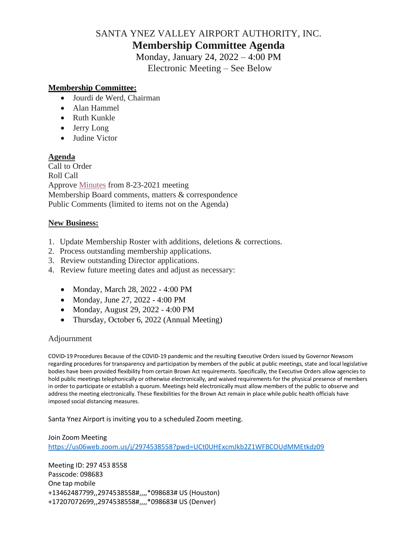# SANTA YNEZ VALLEY AIRPORT AUTHORITY, INC. **Membership Committee Agenda**

Monday, January 24, 2022 – 4:00 PM Electronic Meeting – See Below

### **Membership Committee:**

- Jourdi de Werd, Chairman
- Alan Hammel
- Ruth Kunkle
- Jerry Long
- Judine Victor

#### **Agenda**

Call to Order Roll Call Approve [Minutes](https://santaynezairport.com/wp-content/uploads/2022/01/2021-08-23-Membership-Committee-Minutes-DRAFT.pdf) from 8-23-2021 meeting Membership Board comments, matters & correspondence Public Comments (limited to items not on the Agenda)

#### **New Business:**

- 1. Update Membership Roster with additions, deletions & corrections.
- 2. Process outstanding membership applications.
- 3. Review outstanding Director applications.
- 4. Review future meeting dates and adjust as necessary:
	- Monday, March 28, 2022 4:00 PM
	- Monday, June 27, 2022 4:00 PM
	- Monday, August 29, 2022 4:00 PM
	- Thursday, October 6, 2022 (Annual Meeting)

## Adjournment

COVID-19 Procedures Because of the COVID-19 pandemic and the resulting Executive Orders issued by Governor Newsom regarding procedures for transparency and participation by members of the public at public meetings, state and local legislative bodies have been provided flexibility from certain Brown Act requirements. Specifically, the Executive Orders allow agencies to hold public meetings telephonically or otherwise electronically, and waived requirements for the physical presence of members in order to participate or establish a quorum. Meetings held electronically must allow members of the public to observe and address the meeting electronically. These flexibilities for the Brown Act remain in place while public health officials have imposed social distancing measures.

Santa Ynez Airport is inviting you to a scheduled Zoom meeting.

#### Join Zoom Meeting <https://us06web.zoom.us/j/2974538558?pwd=UCt0UHExcmJkb2Z1WFBCOUdMMEtkdz09>

Meeting ID: 297 453 8558 Passcode: 098683 One tap mobile +13462487799,,2974538558#,,,,\*098683# US (Houston) +17207072699,,2974538558#,,,,\*098683# US (Denver)